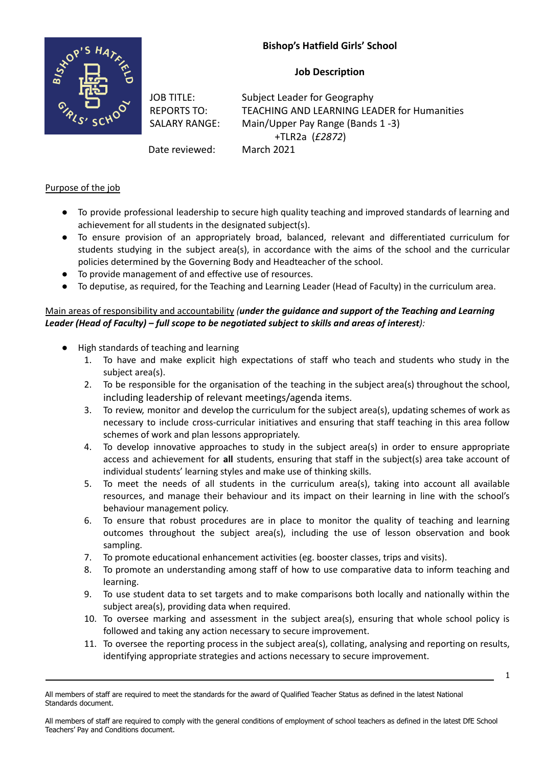# **Bishop's Hatfield Girls' School**

**Job Description**



JOB TITLE: Subject Leader for Geography REPORTS TO: TEACHING AND LEARNING LEADER for Humanities SALARY RANGE: Main/Upper Pay Range (Bands 1 -3) +TLR2a (*£2872*)

Date reviewed: March 2021

# Purpose of the job

- To provide professional leadership to secure high quality teaching and improved standards of learning and achievement for all students in the designated subject(s).
- To ensure provision of an appropriately broad, balanced, relevant and differentiated curriculum for students studying in the subject area(s), in accordance with the aims of the school and the curricular policies determined by the Governing Body and Headteacher of the school.
- To provide management of and effective use of resources.
- To deputise, as required, for the Teaching and Learning Leader (Head of Faculty) in the curriculum area.

## Main areas of responsibility and accountability *(under the guidance and support of the Teaching and Learning Leader (Head of Faculty) – full scope to be negotiated subject to skills and areas of interest):*

- High standards of teaching and learning
	- 1. To have and make explicit high expectations of staff who teach and students who study in the subject area(s).
	- 2. To be responsible for the organisation of the teaching in the subject area(s) throughout the school, including leadership of relevant meetings/agenda items.
	- 3. To review, monitor and develop the curriculum for the subject area(s), updating schemes of work as necessary to include cross-curricular initiatives and ensuring that staff teaching in this area follow schemes of work and plan lessons appropriately.
	- 4. To develop innovative approaches to study in the subject area(s) in order to ensure appropriate access and achievement for **all** students, ensuring that staff in the subject(s) area take account of individual students' learning styles and make use of thinking skills.
	- 5. To meet the needs of all students in the curriculum area(s), taking into account all available resources, and manage their behaviour and its impact on their learning in line with the school's behaviour management policy.
	- 6. To ensure that robust procedures are in place to monitor the quality of teaching and learning outcomes throughout the subject area(s), including the use of lesson observation and book sampling.
	- 7. To promote educational enhancement activities (eg. booster classes, trips and visits).
	- 8. To promote an understanding among staff of how to use comparative data to inform teaching and learning.
	- 9. To use student data to set targets and to make comparisons both locally and nationally within the subject area(s), providing data when required.
	- 10. To oversee marking and assessment in the subject area(s), ensuring that whole school policy is followed and taking any action necessary to secure improvement.
	- 11. To oversee the reporting process in the subject area(s), collating, analysing and reporting on results, identifying appropriate strategies and actions necessary to secure improvement.

All members of staff are required to comply with the general conditions of employment of school teachers as defined in the latest DfE School Teachers' Pay and Conditions document.

<sup>1</sup>

All members of staff are required to meet the standards for the award of Qualified Teacher Status as defined in the latest National Standards document.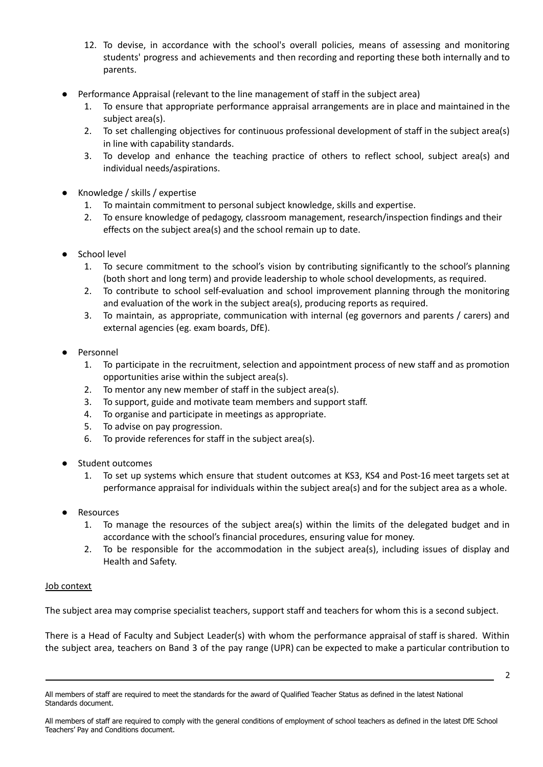- 12. To devise, in accordance with the school's overall policies, means of assessing and monitoring students' progress and achievements and then recording and reporting these both internally and to parents.
- Performance Appraisal (relevant to the line management of staff in the subject area)
	- 1. To ensure that appropriate performance appraisal arrangements are in place and maintained in the subject area(s).
	- 2. To set challenging objectives for continuous professional development of staff in the subject area(s) in line with capability standards.
	- 3. To develop and enhance the teaching practice of others to reflect school, subject area(s) and individual needs/aspirations.
- Knowledge / skills / expertise
	- 1. To maintain commitment to personal subject knowledge, skills and expertise.
	- 2. To ensure knowledge of pedagogy, classroom management, research/inspection findings and their effects on the subject area(s) and the school remain up to date.
- School level
	- 1. To secure commitment to the school's vision by contributing significantly to the school's planning (both short and long term) and provide leadership to whole school developments, as required.
	- 2. To contribute to school self-evaluation and school improvement planning through the monitoring and evaluation of the work in the subject area(s), producing reports as required.
	- 3. To maintain, as appropriate, communication with internal (eg governors and parents / carers) and external agencies (eg. exam boards, DfE).
- Personnel
	- 1. To participate in the recruitment, selection and appointment process of new staff and as promotion opportunities arise within the subject area(s).
	- 2. To mentor any new member of staff in the subject area(s).
	- 3. To support, guide and motivate team members and support staff.
	- 4. To organise and participate in meetings as appropriate.
	- 5. To advise on pay progression.
	- 6. To provide references for staff in the subject area(s).
- Student outcomes
	- 1. To set up systems which ensure that student outcomes at KS3, KS4 and Post-16 meet targets set at performance appraisal for individuals within the subject area(s) and for the subject area as a whole.
- **Resources** 
	- 1. To manage the resources of the subject area(s) within the limits of the delegated budget and in accordance with the school's financial procedures, ensuring value for money.
	- 2. To be responsible for the accommodation in the subject area(s), including issues of display and Health and Safety.

## Job context

The subject area may comprise specialist teachers, support staff and teachers for whom this is a second subject.

There is a Head of Faculty and Subject Leader(s) with whom the performance appraisal of staff is shared. Within the subject area, teachers on Band 3 of the pay range (UPR) can be expected to make a particular contribution to

All members of staff are required to meet the standards for the award of Qualified Teacher Status as defined in the latest National Standards document.

All members of staff are required to comply with the general conditions of employment of school teachers as defined in the latest DfE School Teachers' Pay and Conditions document.